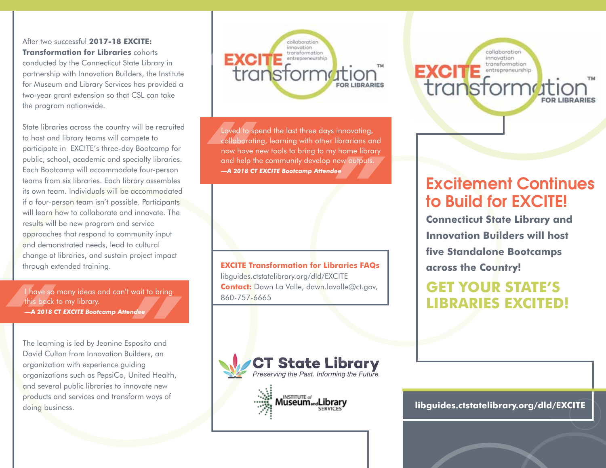After two successful **2017-18 EXCITE: Transformation for Libraries** cohorts

conducted by the Connecticut State Library in partnership with Innovation Builders, the Institute for Museum and Library Services has provided a two-year grant extension so that CSL can take the program nationwide.

State libraries across the country will be recruited to host and library teams will compete to participate in EXCITE's three-day Bootcamp for public, school, academic and specialty libraries. Each Bootcamp will accommodate four-person teams from six libraries. Each library assembles its own team. Individuals will be accommodated if a four-person team isn't possible. Participants will learn how to collaborate and innovate. The results will be new program and service approaches that respond to community input and demonstrated needs, lead to cultural change at libraries, and sustain project impact through extended training. **EXCITE Transformation for Libraries FAQs**

Thave so<br>
this back<br> **A 2018**<br>
The learn I have so many ideas and can't wait to bring this back to my library.

**Finds back to my library.**<br> **A 2018 CT EXCITE Bootcamp Attendee**<br> **A 2018 CT EXCITE Bootcamp Attendee**<br>
The learning is led by Jeanine Esposito and<br>
David Culton from Innovation Builders, an<br>
propriation with auraliance p The learning is led by Jeanine Esposito and David Culton from Innovation Builders, an organization with experience guiding organizations such as PepsiCo, United Health, and several public libraries to innovate new products and services and transform ways of doing business.

**EXC**<br>tre innovation transformation **TION**<br>FOR LIBRARIES<br>innovating,<br>ibrarians and

Loved to s<br>
collaborat<br>
now have<br>
and help i<br> **-4 2018 C** *r* Home indiry<br>
new outputs.<br>
ee Loved to spend the last three days innovating, collaborating, learning with other librarians and now have new tools to bring to my home library and help the community develop new outputs. *—A 2018 CT EXCITE Bootcamp Attendee*

libguides.ctstatelibrary.org/dld/EXCITE **Contact:** Dawn La Valle, dawn.lavalle@ct.gov, 860-757-6665





collaboration innovation transformation **EXCITE** entrepreneurship transformatio

# Excitement Continues to Build for EXCITE!

**Connecticut State Library and Innovation Builders will host five Standalone Bootcamps across the Country!**

# **GET YOUR STATE'S LIBRARIES EXCITED!**

**libguides.ctstatelibrary.org/dld/EXCITE**